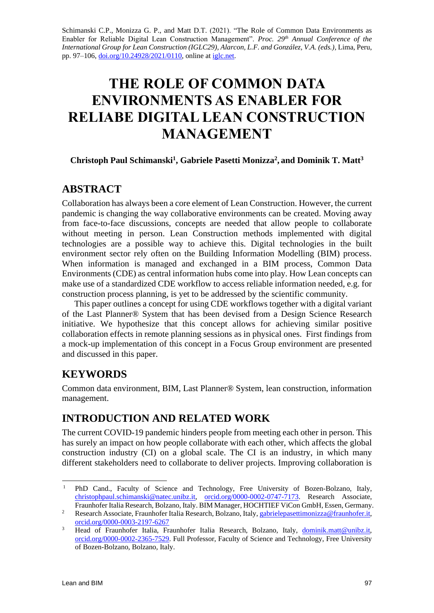Schimanski C.P., Monizza G. P., and Matt D.T. (2021). "The Role of Common Data Environments as Enabler for Reliable Digital Lean Construction Management". *Proc. 29th Annual Conference of the International Group for Lean Construction (IGLC29), Alarcon, L.F. and González, V.A. (eds.), Lima, Peru,* pp. 97-106,  $\underline{\text{doi.org}/10.24928/2021/0110}$ , online a[t iglc.net.](http://iglc.net/)

# **THE ROLE OF COMMON DATA ENVIRONMENTS AS ENABLER FOR RELIABE DIGITAL LEAN CONSTRUCTION MANAGEMENT**

#### **Christoph Paul Schimanski<sup>1</sup> , Gabriele Pasetti Monizza<sup>2</sup> , and Dominik T. Matt<sup>3</sup>**

### **ABSTRACT**

Collaboration has always been a core element of Lean Construction. However, the current pandemic is changing the way collaborative environments can be created. Moving away from face-to-face discussions, concepts are needed that allow people to collaborate without meeting in person. Lean Construction methods implemented with digital technologies are a possible way to achieve this. Digital technologies in the built environment sector rely often on the Building Information Modelling (BIM) process. When information is managed and exchanged in a BIM process, Common Data Environments (CDE) as central information hubs come into play. How Lean concepts can make use of a standardized CDE workflow to access reliable information needed, e.g. for construction process planning, is yet to be addressed by the scientific community.

This paper outlines a concept for using CDE workflows together with a digital variant of the Last Planner® System that has been devised from a Design Science Research initiative. We hypothesize that this concept allows for achieving similar positive collaboration effects in remote planning sessions as in physical ones. First findings from a mock-up implementation of this concept in a Focus Group environment are presented and discussed in this paper.

# **KEYWORDS**

Common data environment, BIM, Last Planner® System, lean construction, information management.

# **INTRODUCTION AND RELATED WORK**

The current COVID-19 pandemic hinders people from meeting each other in person. This has surely an impact on how people collaborate with each other, which affects the global construction industry (CI) on a global scale. The CI is an industry, in which many different stakeholders need to collaborate to deliver projects. Improving collaboration is

<sup>&</sup>lt;sup>1</sup> PhD Cand., Faculty of Science and Technology, Free University of Bozen-Bolzano, Italy, [christophpaul.schimanski@natec.unibz.it,](mailto:christophpaul.schimanski@natec.unibz.it) [orcid.org/0000-0002-0747-7173.](http://www.orcid.org/0000-0002-0747-7173) Research Associate, Fraunhofer Italia Research, Bolzano, Italy. BIM Manager, HOCHTIEF ViCon GmbH, Essen, Germany.

<sup>&</sup>lt;sup>2</sup> Research Associate, Fraunhofer Italia Research, Bolzano, Italy, [gabrielepasettimonizza@fraunhofer.it,](mailto:gabrielepasettimonizza@fraunhofer.it) [orcid.org/0000-0003-2197-6267](http://www.orcid.org/0000-0003-2197-6267)

<sup>3</sup> Head of Fraunhofer Italia, Fraunhofer Italia Research, Bolzano, Italy, [dominik.matt@unibz.it,](mailto:dominik.matt@unibz.it) [orcid.org/0000-0002-2365-7529.](http://www.orcid.org/0000-0002-2365-7529) Full Professor, Faculty of Science and Technology, Free University of Bozen-Bolzano, Bolzano, Italy.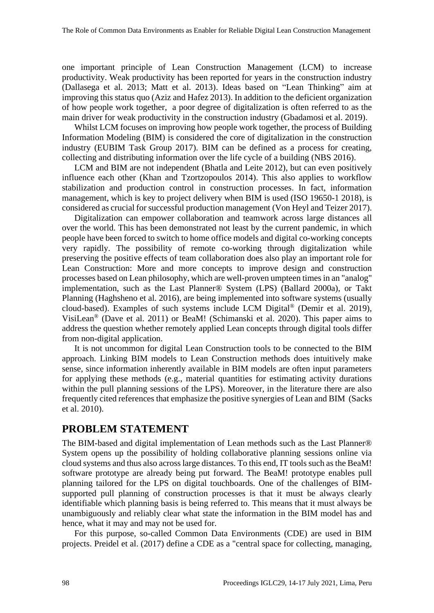one important principle of Lean Construction Management (LCM) to increase productivity. Weak productivity has been reported for years in the construction industry (Dallasega et al. 2013; Matt et al. 2013). Ideas based on "Lean Thinking" aim at improving this status quo (Aziz and Hafez 2013). In addition to the deficient organization of how people work together, a poor degree of digitalization is often referred to as the main driver for weak productivity in the construction industry (Gbadamosi et al. 2019).

Whilst LCM focuses on improving how people work together, the process of Building Information Modeling (BIM) is considered the core of digitalization in the construction industry (EUBIM Task Group 2017). BIM can be defined as a process for creating, collecting and distributing information over the life cycle of a building (NBS 2016).

LCM and BIM are not independent (Bhatla and Leite 2012), but can even positively influence each other (Khan and Tzortzopoulos 2014). This also applies to workflow stabilization and production control in construction processes. In fact, information management, which is key to project delivery when BIM is used (ISO 19650-1 2018), is considered as crucial for successful production management (Von Heyl and Teizer 2017).

Digitalization can empower collaboration and teamwork across large distances all over the world. This has been demonstrated not least by the current pandemic, in which people have been forced to switch to home office models and digital co-working concepts very rapidly. The possibility of remote co-working through digitalization while preserving the positive effects of team collaboration does also play an important role for Lean Construction: More and more concepts to improve design and construction processes based on Lean philosophy, which are well-proven umpteen times in an "analog" implementation, such as the Last Planner® System (LPS) (Ballard 2000a), or Takt Planning (Haghsheno et al. 2016), are being implemented into software systems (usually cloud-based). Examples of such systems include LCM Digital® (Demir et al. 2019), VisiLean® (Dave et al. 2011) or BeaM! (Schimanski et al. 2020). This paper aims to address the question whether remotely applied Lean concepts through digital tools differ from non-digital application.

It is not uncommon for digital Lean Construction tools to be connected to the BIM approach. Linking BIM models to Lean Construction methods does intuitively make sense, since information inherently available in BIM models are often input parameters for applying these methods (e.g., material quantities for estimating activity durations within the pull planning sessions of the LPS). Moreover, in the literature there are also frequently cited references that emphasize the positive synergies of Lean and BIM (Sacks et al. 2010).

### **PROBLEM STATEMENT**

The BIM-based and digital implementation of Lean methods such as the Last Planner® System opens up the possibility of holding collaborative planning sessions online via cloud systems and thus also across large distances. To this end, IT tools such as the BeaM! software prototype are already being put forward. The BeaM! prototype enables pull planning tailored for the LPS on digital touchboards. One of the challenges of BIMsupported pull planning of construction processes is that it must be always clearly identifiable which planning basis is being referred to. This means that it must always be unambiguously and reliably clear what state the information in the BIM model has and hence, what it may and may not be used for.

For this purpose, so-called Common Data Environments (CDE) are used in BIM projects. Preidel et al. (2017) define a CDE as a "central space for collecting, managing,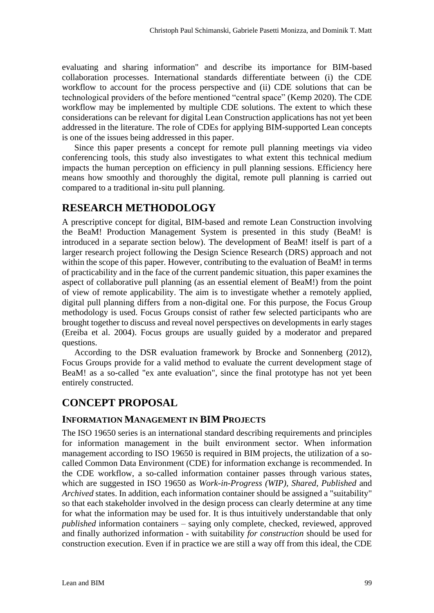evaluating and sharing information" and describe its importance for BIM-based collaboration processes. International standards differentiate between (i) the CDE workflow to account for the process perspective and (ii) CDE solutions that can be technological providers of the before mentioned "central space" (Kemp 2020). The CDE workflow may be implemented by multiple CDE solutions. The extent to which these considerations can be relevant for digital Lean Construction applications has not yet been addressed in the literature. The role of CDEs for applying BIM-supported Lean concepts is one of the issues being addressed in this paper.

Since this paper presents a concept for remote pull planning meetings via video conferencing tools, this study also investigates to what extent this technical medium impacts the human perception on efficiency in pull planning sessions. Efficiency here means how smoothly and thoroughly the digital, remote pull planning is carried out compared to a traditional in-situ pull planning.

### **RESEARCH METHODOLOGY**

A prescriptive concept for digital, BIM-based and remote Lean Construction involving the BeaM! Production Management System is presented in this study (BeaM! is introduced in a separate section below). The development of BeaM! itself is part of a larger research project following the Design Science Research (DRS) approach and not within the scope of this paper. However, contributing to the evaluation of BeaM! in terms of practicability and in the face of the current pandemic situation, this paper examines the aspect of collaborative pull planning (as an essential element of BeaM!) from the point of view of remote applicability. The aim is to investigate whether a remotely applied, digital pull planning differs from a non-digital one. For this purpose, the Focus Group methodology is used. Focus Groups consist of rather few selected participants who are brought together to discuss and reveal novel perspectives on developments in early stages (Ereiba et al. 2004). Focus groups are usually guided by a moderator and prepared questions.

According to the DSR evaluation framework by Brocke and Sonnenberg (2012), Focus Groups provide for a valid method to evaluate the current development stage of BeaM! as a so-called "ex ante evaluation", since the final prototype has not yet been entirely constructed.

# **CONCEPT PROPOSAL**

#### **INFORMATION MANAGEMENT IN BIM PROJECTS**

The ISO 19650 series is an international standard describing requirements and principles for information management in the built environment sector. When information management according to ISO 19650 is required in BIM projects, the utilization of a socalled Common Data Environment (CDE) for information exchange is recommended. In the CDE workflow, a so-called information container passes through various states, which are suggested in ISO 19650 as *Work-in-Progress (WIP), Shared, Published* and *Archived* states. In addition, each information container should be assigned a "suitability" so that each stakeholder involved in the design process can clearly determine at any time for what the information may be used for. It is thus intuitively understandable that only *published* information containers – saying only complete, checked, reviewed, approved and finally authorized information - with suitability *for construction* should be used for construction execution. Even if in practice we are still a way off from this ideal, the CDE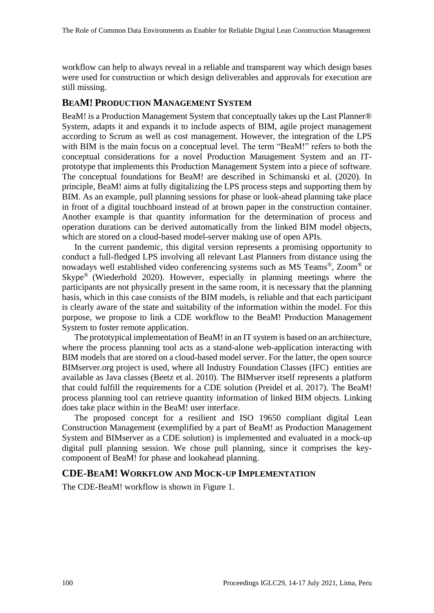workflow can help to always reveal in a reliable and transparent way which design bases were used for construction or which design deliverables and approvals for execution are still missing.

#### **BEAM! PRODUCTION MANAGEMENT SYSTEM**

BeaM! is a Production Management System that conceptually takes up the Last Planner® System, adapts it and expands it to include aspects of BIM, agile project management according to Scrum as well as cost management. However, the integration of the LPS with BIM is the main focus on a conceptual level. The term "BeaM!" refers to both the conceptual considerations for a novel Production Management System and an ITprototype that implements this Production Management System into a piece of software. The conceptual foundations for BeaM! are described in Schimanski et al. (2020). In principle, BeaM! aims at fully digitalizing the LPS process steps and supporting them by BIM. As an example, pull planning sessions for phase or look-ahead planning take place in front of a digital touchboard instead of at brown paper in the construction container. Another example is that quantity information for the determination of process and operation durations can be derived automatically from the linked BIM model objects, which are stored on a cloud-based model-server making use of open APIs.

In the current pandemic, this digital version represents a promising opportunity to conduct a full-fledged LPS involving all relevant Last Planners from distance using the nowadays well established video conferencing systems such as MS Teams<sup>®</sup>, Zoom<sup>®</sup> or Skype® (Wiederhold 2020). However, especially in planning meetings where the participants are not physically present in the same room, it is necessary that the planning basis, which in this case consists of the BIM models, is reliable and that each participant is clearly aware of the state and suitability of the information within the model. For this purpose, we propose to link a CDE workflow to the BeaM! Production Management System to foster remote application.

The prototypical implementation of BeaM! in an IT system is based on an architecture, where the process planning tool acts as a stand-alone web-application interacting with BIM models that are stored on a cloud-based model server. For the latter, the open source BIMserver.org project is used, where all Industry Foundation Classes (IFC) entities are available as Java classes (Beetz et al. 2010). The BIMserver itself represents a platform that could fulfill the requirements for a CDE solution (Preidel et al. 2017). The BeaM! process planning tool can retrieve quantity information of linked BIM objects. Linking does take place within in the BeaM! user interface.

The proposed concept for a resilient and ISO 19650 compliant digital Lean Construction Management (exemplified by a part of BeaM! as Production Management System and BIMserver as a CDE solution) is implemented and evaluated in a mock-up digital pull planning session. We chose pull planning, since it comprises the keycomponent of BeaM! for phase and lookahead planning.

#### **CDE-BEAM! WORKFLOW AND MOCK-UP IMPLEMENTATION**

The CDE-BeaM! workflow is shown in [Figure 1.](#page-4-0)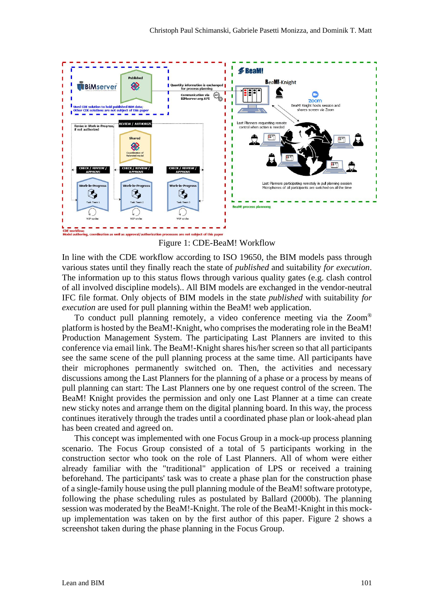

Figure 1: CDE-BeaM! Workflow

<span id="page-4-0"></span>In line with the CDE workflow according to ISO 19650, the BIM models pass through various states until they finally reach the state of *published* and suitability *for execution*. The information up to this status flows through various quality gates (e.g. clash control of all involved discipline models).. All BIM models are exchanged in the vendor-neutral IFC file format. Only objects of BIM models in the state *published* with suitability *for execution* are used for pull planning within the BeaM! web application.

To conduct pull planning remotely, a video conference meeting via the Zoom® platform is hosted by the BeaM!-Knight, who comprises the moderating role in the BeaM! Production Management System. The participating Last Planners are invited to this conference via email link. The BeaM!-Knight shares his/her screen so that all participants see the same scene of the pull planning process at the same time. All participants have their microphones permanently switched on. Then, the activities and necessary discussions among the Last Planners for the planning of a phase or a process by means of pull planning can start: The Last Planners one by one request control of the screen. The BeaM! Knight provides the permission and only one Last Planner at a time can create new sticky notes and arrange them on the digital planning board. In this way, the process continues iteratively through the trades until a coordinated phase plan or look-ahead plan has been created and agreed on.

This concept was implemented with one Focus Group in a mock-up process planning scenario. The Focus Group consisted of a total of 5 participants working in the construction sector who took on the role of Last Planners. All of whom were either already familiar with the "traditional" application of LPS or received a training beforehand. The participants' task was to create a phase plan for the construction phase of a single-family house using the pull planning module of the BeaM! software prototype, following the phase scheduling rules as postulated by Ballard (2000b). The planning session was moderated by the BeaM!-Knight. The role of the BeaM!-Knight in this mockup implementation was taken on by the first author of this paper. [Figure 2](#page-5-0) shows a screenshot taken during the phase planning in the Focus Group.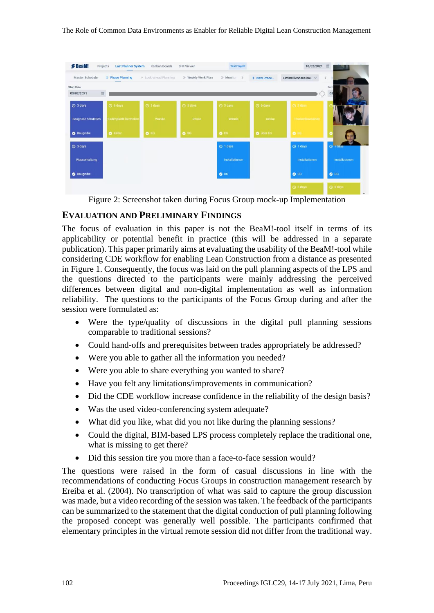The Role of Common Data Environments as Enabler for Reliable Digital Lean Construction Management



Figure 2: Screenshot taken during Focus Group mock-up Implementation

#### <span id="page-5-0"></span>**EVALUATION AND PRELIMINARY FINDINGS**

The focus of evaluation in this paper is not the BeaM!-tool itself in terms of its applicability or potential benefit in practice (this will be addressed in a separate publication). This paper primarily aims at evaluating the usability of the BeaM!-tool while considering CDE workflow for enabling Lean Construction from a distance as presented in [Figure 1.](#page-4-0) Consequently, the focus was laid on the pull planning aspects of the LPS and the questions directed to the participants were mainly addressing the perceived differences between digital and non-digital implementation as well as information reliability. The questions to the participants of the Focus Group during and after the session were formulated as:

- Were the type/quality of discussions in the digital pull planning sessions comparable to traditional sessions?
- Could hand-offs and prerequisites between trades appropriately be addressed?
- Were you able to gather all the information you needed?
- Were you able to share everything you wanted to share?
- Have you felt any limitations/improvements in communication?
- Did the CDE workflow increase confidence in the reliability of the design basis?
- Was the used video-conferencing system adequate?
- What did you like, what did you not like during the planning sessions?
- Could the digital, BIM-based LPS process completely replace the traditional one, what is missing to get there?
- Did this session tire you more than a face-to-face session would?

The questions were raised in the form of casual discussions in line with the recommendations of conducting Focus Groups in construction management research by Ereiba et al. (2004). No transcription of what was said to capture the group discussion was made, but a video recording of the session was taken. The feedback of the participants can be summarized to the statement that the digital conduction of pull planning following the proposed concept was generally well possible. The participants confirmed that elementary principles in the virtual remote session did not differ from the traditional way.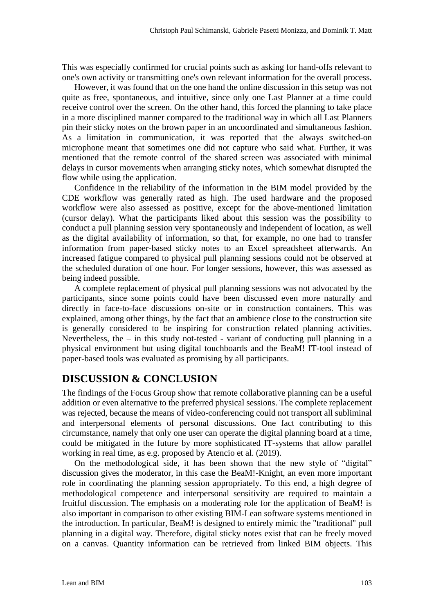This was especially confirmed for crucial points such as asking for hand-offs relevant to one's own activity or transmitting one's own relevant information for the overall process.

However, it was found that on the one hand the online discussion in this setup was not quite as free, spontaneous, and intuitive, since only one Last Planner at a time could receive control over the screen. On the other hand, this forced the planning to take place in a more disciplined manner compared to the traditional way in which all Last Planners pin their sticky notes on the brown paper in an uncoordinated and simultaneous fashion. As a limitation in communication, it was reported that the always switched-on microphone meant that sometimes one did not capture who said what. Further, it was mentioned that the remote control of the shared screen was associated with minimal delays in cursor movements when arranging sticky notes, which somewhat disrupted the flow while using the application.

Confidence in the reliability of the information in the BIM model provided by the CDE workflow was generally rated as high. The used hardware and the proposed workflow were also assessed as positive, except for the above-mentioned limitation (cursor delay). What the participants liked about this session was the possibility to conduct a pull planning session very spontaneously and independent of location, as well as the digital availability of information, so that, for example, no one had to transfer information from paper-based sticky notes to an Excel spreadsheet afterwards. An increased fatigue compared to physical pull planning sessions could not be observed at the scheduled duration of one hour. For longer sessions, however, this was assessed as being indeed possible.

A complete replacement of physical pull planning sessions was not advocated by the participants, since some points could have been discussed even more naturally and directly in face-to-face discussions on-site or in construction containers. This was explained, among other things, by the fact that an ambience close to the construction site is generally considered to be inspiring for construction related planning activities. Nevertheless, the – in this study not-tested - variant of conducting pull planning in a physical environment but using digital touchboards and the BeaM! IT-tool instead of paper-based tools was evaluated as promising by all participants.

# **DISCUSSION & CONCLUSION**

The findings of the Focus Group show that remote collaborative planning can be a useful addition or even alternative to the preferred physical sessions. The complete replacement was rejected, because the means of video-conferencing could not transport all subliminal and interpersonal elements of personal discussions. One fact contributing to this circumstance, namely that only one user can operate the digital planning board at a time, could be mitigated in the future by more sophisticated IT-systems that allow parallel working in real time, as e.g. proposed by Atencio et al. (2019).

On the methodological side, it has been shown that the new style of "digital" discussion gives the moderator, in this case the BeaM!-Knight, an even more important role in coordinating the planning session appropriately. To this end, a high degree of methodological competence and interpersonal sensitivity are required to maintain a fruitful discussion. The emphasis on a moderating role for the application of BeaM! is also important in comparison to other existing BIM-Lean software systems mentioned in the introduction. In particular, BeaM! is designed to entirely mimic the "traditional" pull planning in a digital way. Therefore, digital sticky notes exist that can be freely moved on a canvas. Quantity information can be retrieved from linked BIM objects. This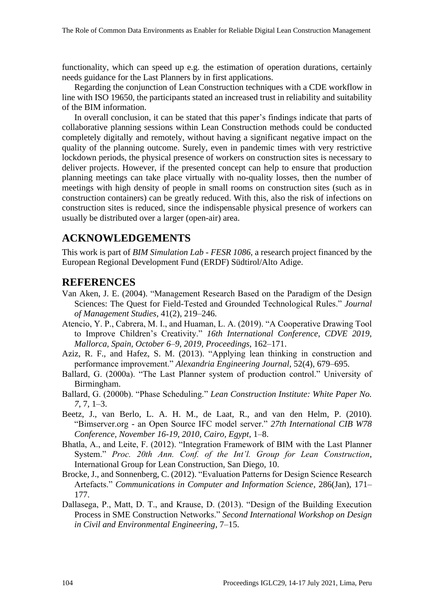functionality, which can speed up e.g. the estimation of operation durations, certainly needs guidance for the Last Planners by in first applications.

Regarding the conjunction of Lean Construction techniques with a CDE workflow in line with ISO 19650, the participants stated an increased trust in reliability and suitability of the BIM information.

In overall conclusion, it can be stated that this paper's findings indicate that parts of collaborative planning sessions within Lean Construction methods could be conducted completely digitally and remotely, without having a significant negative impact on the quality of the planning outcome. Surely, even in pandemic times with very restrictive lockdown periods, the physical presence of workers on construction sites is necessary to deliver projects. However, if the presented concept can help to ensure that production planning meetings can take place virtually with no-quality losses, then the number of meetings with high density of people in small rooms on construction sites (such as in construction containers) can be greatly reduced. With this, also the risk of infections on construction sites is reduced, since the indispensable physical presence of workers can usually be distributed over a larger (open-air) area.

### **ACKNOWLEDGEMENTS**

This work is part of *BIM Simulation Lab - FESR 1086*, a research project financed by the European Regional Development Fund (ERDF) Südtirol/Alto Adige.

#### **REFERENCES**

- Van Aken, J. E. (2004). "Management Research Based on the Paradigm of the Design Sciences: The Quest for Field-Tested and Grounded Technological Rules." *Journal of Management Studies*, 41(2), 219–246.
- Atencio, Y. P., Cabrera, M. I., and Huaman, L. A. (2019). "A Cooperative Drawing Tool to Improve Children's Creativity." *16th International Conference, CDVE 2019, Mallorca, Spain, October 6–9, 2019, Proceedings*, 162–171.
- Aziz, R. F., and Hafez, S. M. (2013). "Applying lean thinking in construction and performance improvement." *Alexandria Engineering Journal*, 52(4), 679–695.
- Ballard, G. (2000a). "The Last Planner system of production control." University of Birmingham.
- Ballard, G. (2000b). "Phase Scheduling." *Lean Construction Institute: White Paper No. 7*, 7, 1–3.
- Beetz, J., van Berlo, L. A. H. M., de Laat, R., and van den Helm, P. (2010). "Bimserver.org - an Open Source IFC model server." *27th International CIB W78 Conference, November 16-19, 2010, Cairo, Egypt*, 1–8.
- Bhatla, A., and Leite, F. (2012). "Integration Framework of BIM with the Last Planner System." *Proc. 20th Ann. Conf. of the Int'l. Group for Lean Construction*, International Group for Lean Construction, San Diego, 10.
- Brocke, J., and Sonnenberg, C. (2012). "Evaluation Patterns for Design Science Research Artefacts." *Communications in Computer and Information Science*, 286(Jan), 171– 177.
- Dallasega, P., Matt, D. T., and Krause, D. (2013). "Design of the Building Execution Process in SME Construction Networks." *Second International Workshop on Design in Civil and Environmental Engineering*, 7–15.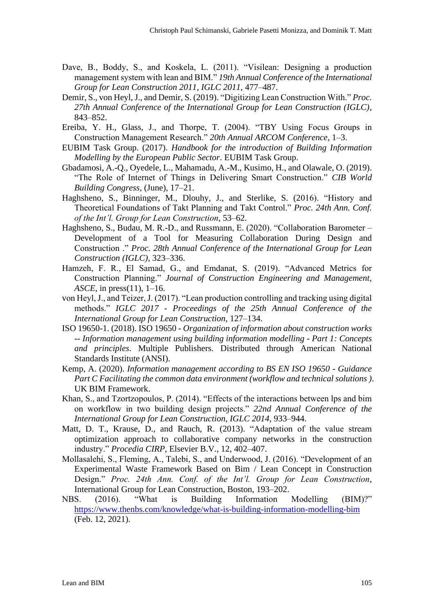- Dave, B., Boddy, S., and Koskela, L. (2011). "Visilean: Designing a production management system with lean and BIM." *19th Annual Conference of the International Group for Lean Construction 2011, IGLC 2011*, 477–487.
- Demir, S., von Heyl, J., and Demir, S. (2019). "Digitizing Lean Construction With." *Proc. 27th Annual Conference of the International Group for Lean Construction (IGLC)*, 843–852.
- Ereiba, Y. H., Glass, J., and Thorpe, T. (2004). "TBY Using Focus Groups in Construction Management Research." *20th Annual ARCOM Conference*, 1–3.
- EUBIM Task Group. (2017). *Handbook for the introduction of Building Information Modelling by the European Public Sector*. EUBIM Task Group.
- Gbadamosi, A.-Q., Oyedele, L., Mahamadu, A.-M., Kusimo, H., and Olawale, O. (2019). "The Role of Internet of Things in Delivering Smart Construction." *CIB World Building Congress*, (June), 17–21.
- Haghsheno, S., Binninger, M., Dlouhy, J., and Sterlike, S. (2016). "History and Theoretical Foundations of Takt Planning and Takt Control." *Proc. 24th Ann. Conf. of the Int'l. Group for Lean Construction*, 53–62.
- Haghsheno, S., Budau, M. R.-D., and Russmann, E. (2020). "Collaboration Barometer Development of a Tool for Measuring Collaboration During Design and Construction ." *Proc. 28th Annual Conference of the International Group for Lean Construction (IGLC)*, 323–336.
- Hamzeh, F. R., El Samad, G., and Emdanat, S. (2019). "Advanced Metrics for Construction Planning." *Journal of Construction Engineering and Management, ASCE*, in press(11), 1–16.
- von Heyl, J., and Teizer, J. (2017). "Lean production controlling and tracking using digital methods." *IGLC 2017 - Proceedings of the 25th Annual Conference of the International Group for Lean Construction*, 127–134.
- ISO 19650-1. (2018). ISO 19650 *Organization of information about construction works -- Information management using building information modelling - Part 1: Concepts and principles*. Multiple Publishers. Distributed through American National Standards Institute (ANSI).
- Kemp, A. (2020). *Information management according to BS EN ISO 19650 - Guidance Part C Facilitating the common data environment (workflow and technical solutions )*. UK BIM Framework.
- Khan, S., and Tzortzopoulos, P. (2014). "Effects of the interactions between lps and bim on workflow in two building design projects." *22nd Annual Conference of the International Group for Lean Construction, IGLC 2014*, 933–944.
- Matt, D. T., Krause, D., and Rauch, R. (2013). "Adaptation of the value stream optimization approach to collaborative company networks in the construction industry." *Procedia CIRP*, Elsevier B.V., 12, 402–407.
- Mollasalehi, S., Fleming, A., Talebi, S., and Underwood, J. (2016). "Development of an Experimental Waste Framework Based on Bim / Lean Concept in Construction Design." *Proc. 24th Ann. Conf. of the Int'l. Group for Lean Construction*, International Group for Lean Construction, Boston, 193–202.
- NBS. (2016). "What is Building Information Modelling (BIM)?" <https://www.thenbs.com/knowledge/what-is-building-information-modelling-bim> (Feb. 12, 2021).